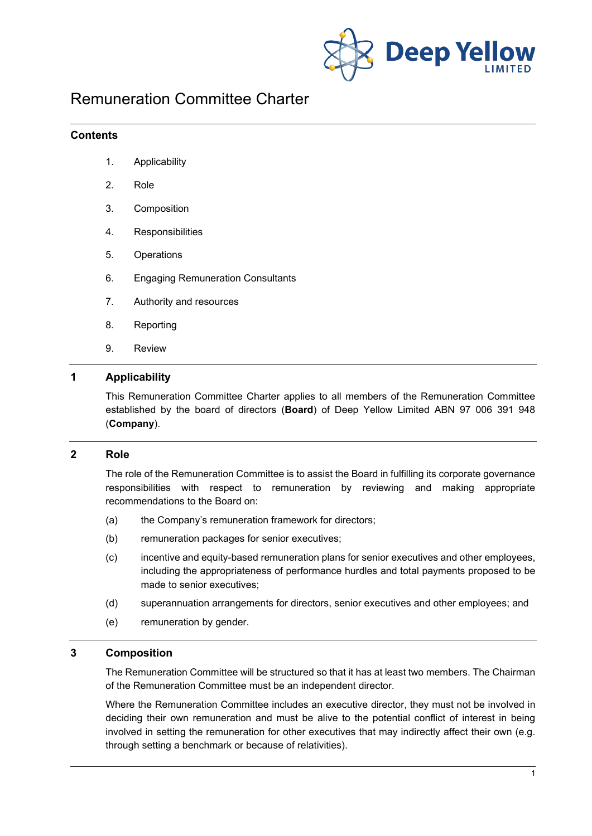

# Remuneration Committee Charter

### **Contents**

- 1. Applicability
- 2. Role
- 3. Composition
- 4. Responsibilities
- 5. Operations
- 6. Engaging Remuneration Consultants
- 7. Authority and resources
- 8. Reporting
- 9. Review

# **1 Applicability**

This Remuneration Committee Charter applies to all members of the Remuneration Committee established by the board of directors (**Board**) of Deep Yellow Limited ABN 97 006 391 948 (**Company**).

#### **2 Role**

The role of the Remuneration Committee is to assist the Board in fulfilling its corporate governance responsibilities with respect to remuneration by reviewing and making appropriate recommendations to the Board on:

- (a) the Company's remuneration framework for directors;
- (b) remuneration packages for senior executives;
- (c) incentive and equity-based remuneration plans for senior executives and other employees, including the appropriateness of performance hurdles and total payments proposed to be made to senior executives;
- (d) superannuation arrangements for directors, senior executives and other employees; and
- (e) remuneration by gender.

#### **3 Composition**

The Remuneration Committee will be structured so that it has at least two members. The Chairman of the Remuneration Committee must be an independent director.

Where the Remuneration Committee includes an executive director, they must not be involved in deciding their own remuneration and must be alive to the potential conflict of interest in being involved in setting the remuneration for other executives that may indirectly affect their own (e.g. through setting a benchmark or because of relativities).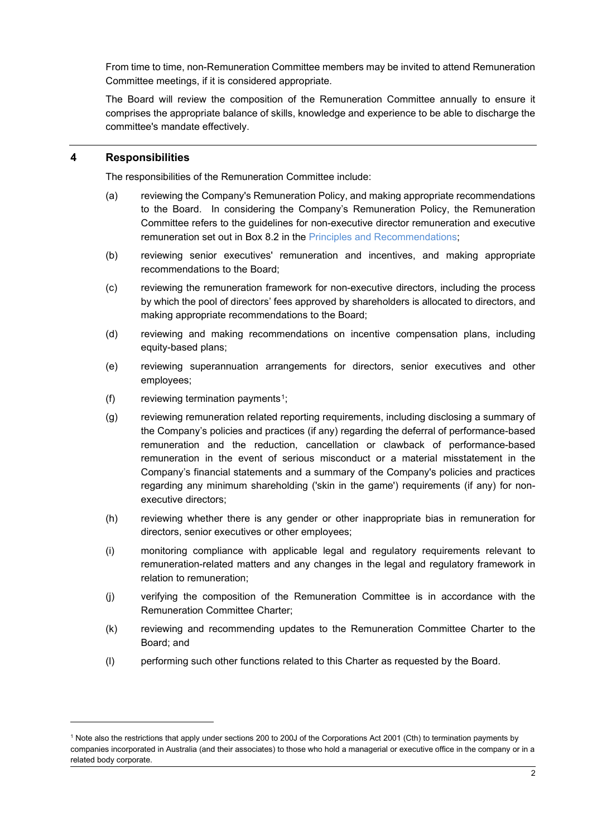From time to time, non-Remuneration Committee members may be invited to attend Remuneration Committee meetings, if it is considered appropriate.

The Board will review the composition of the Remuneration Committee annually to ensure it comprises the appropriate balance of skills, knowledge and experience to be able to discharge the committee's mandate effectively.

## **4 Responsibilities**

The responsibilities of the Remuneration Committee include:

- (a) reviewing the Company's Remuneration Policy, and making appropriate recommendations to the Board. In considering the Company's Remuneration Policy, the Remuneration Committee refers to the guidelines for non-executive director remuneration and executive remuneration set out in Box 8.2 in the [Principles and Recommendations;](https://www.asx.com.au/documents/asx-compliance/cgc-principles-and-recommendations-fourth-edn.pdf)
- (b) reviewing senior executives' remuneration and incentives, and making appropriate recommendations to the Board;
- (c) reviewing the remuneration framework for non-executive directors, including the process by which the pool of directors' fees approved by shareholders is allocated to directors, and making appropriate recommendations to the Board;
- (d) reviewing and making recommendations on incentive compensation plans, including equity-based plans;
- (e) reviewing superannuation arrangements for directors, senior executives and other employees;
- (f) reviewing termination payments<sup>1</sup>;
- (g) reviewing remuneration related reporting requirements, including disclosing a summary of the Company's policies and practices (if any) regarding the deferral of performance-based remuneration and the reduction, cancellation or clawback of performance-based remuneration in the event of serious misconduct or a material misstatement in the Company's financial statements and a summary of the Company's policies and practices regarding any minimum shareholding ('skin in the game') requirements (if any) for nonexecutive directors;
- (h) reviewing whether there is any gender or other inappropriate bias in remuneration for directors, senior executives or other employees;
- (i) monitoring compliance with applicable legal and regulatory requirements relevant to remuneration-related matters and any changes in the legal and regulatory framework in relation to remuneration;
- (j) verifying the composition of the Remuneration Committee is in accordance with the Remuneration Committee Charter;
- (k) reviewing and recommending updates to the Remuneration Committee Charter to the Board; and
- (l) performing such other functions related to this Charter as requested by the Board.

<span id="page-1-0"></span><sup>1</sup> Note also the restrictions that apply under sections 200 to 200J of the Corporations Act 2001 (Cth) to termination payments by companies incorporated in Australia (and their associates) to those who hold a managerial or executive office in the company or in a related body corporate.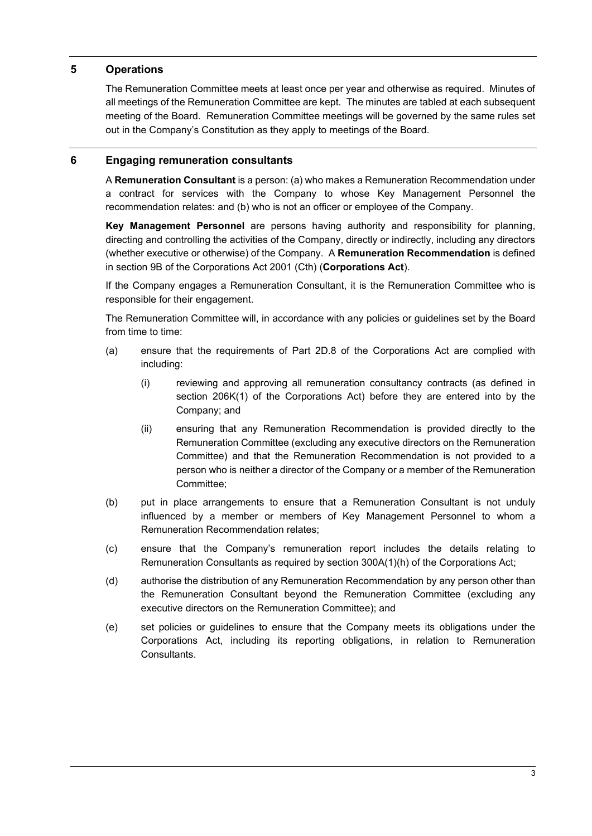# **5 Operations**

The Remuneration Committee meets at least once per year and otherwise as required. Minutes of all meetings of the Remuneration Committee are kept. The minutes are tabled at each subsequent meeting of the Board. Remuneration Committee meetings will be governed by the same rules set out in the Company's Constitution as they apply to meetings of the Board.

# **6 Engaging remuneration consultants**

A **Remuneration Consultant** is a person: (a) who makes a Remuneration Recommendation under a contract for services with the Company to whose Key Management Personnel the recommendation relates: and (b) who is not an officer or employee of the Company.

**Key Management Personnel** are persons having authority and responsibility for planning, directing and controlling the activities of the Company, directly or indirectly, including any directors (whether executive or otherwise) of the Company. A **Remuneration Recommendation** is defined in section 9B of the Corporations Act 2001 (Cth) (**Corporations Act**).

If the Company engages a Remuneration Consultant, it is the Remuneration Committee who is responsible for their engagement.

The Remuneration Committee will, in accordance with any policies or guidelines set by the Board from time to time:

- (a) ensure that the requirements of Part 2D.8 of the Corporations Act are complied with including:
	- (i) reviewing and approving all remuneration consultancy contracts (as defined in section 206K(1) of the Corporations Act) before they are entered into by the Company; and
	- (ii) ensuring that any Remuneration Recommendation is provided directly to the Remuneration Committee (excluding any executive directors on the Remuneration Committee) and that the Remuneration Recommendation is not provided to a person who is neither a director of the Company or a member of the Remuneration Committee;
- (b) put in place arrangements to ensure that a Remuneration Consultant is not unduly influenced by a member or members of Key Management Personnel to whom a Remuneration Recommendation relates;
- (c) ensure that the Company's remuneration report includes the details relating to Remuneration Consultants as required by section 300A(1)(h) of the Corporations Act;
- (d) authorise the distribution of any Remuneration Recommendation by any person other than the Remuneration Consultant beyond the Remuneration Committee (excluding any executive directors on the Remuneration Committee); and
- (e) set policies or guidelines to ensure that the Company meets its obligations under the Corporations Act, including its reporting obligations, in relation to Remuneration Consultants.